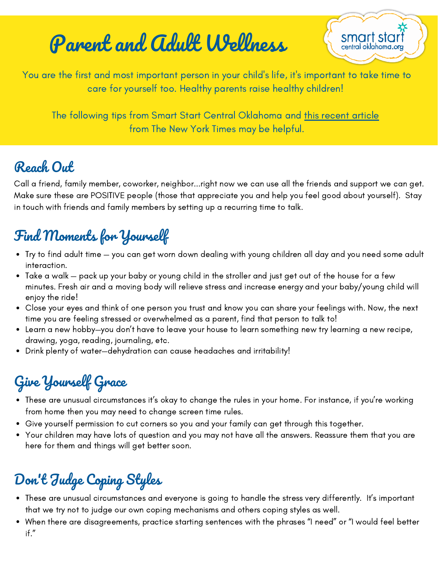# Parent and Adult Wellness

smart sta central oklahoma.o

You are the first and most important person in your child's life, it's important to take time to care for yourself too. Healthy parents raise healthy children!

The following tips from Smart Start Central Oklahoma and this [recent](https://parenting.nytimes.com/health/parents-need-stress-relief-too?module=editors-picks&action=click®ion=1) article from The New York Times may be helpful.

#### Reach Out

Call a friend, family member, coworker, neighbor...right now we can use all the friends and support we can get. Make sure these are POSITIVE people (those that appreciate you and help you feel good about yourself). Stay in touch with friends and family members by setting up a recurring time to talk.

### Find Moments for Yourself

- Try to find adult time you can get worn down dealing with young children all day and you need some adult interaction.
- Take a walk pack up your baby or young child in the stroller and just get out of the house for a few minutes. Fresh air and a moving body will relieve stress and increase energy and your baby/young child will enjoy the ride!
- Close your eyes and think of one person you trust and know you can share your feelings with. Now, the next time you are feeling stressed or overwhelmed as a parent, find that person to talk to!
- Learn a new hobby—you don't have to leave your house to learn something new try learning a new recipe, drawing, yoga, reading, journaling, etc.
- Drink plenty of water—dehydration can cause headaches and irritability!

# Give Yourself Grace

- These are unusual circumstances it's okay to change the rules in your home. For instance, if you're working from home then you may need to change screen time rules.
- Give yourself permission to cut corners so you and your family can get through this together.
- $\bullet$ Your children may have lots of question and you may not have all the answers. Reassure them that you are here for them and things will get better soon.

## Don 't Judge Coping Styles

- These are unusual circumstances and everyone is going to handle the stress very differently. It's important that we try not to judge our own coping mechanisms and others coping styles as well.
- When there are disagreements, practice starting sentences with the phrases "I need" or "I would feel better if."